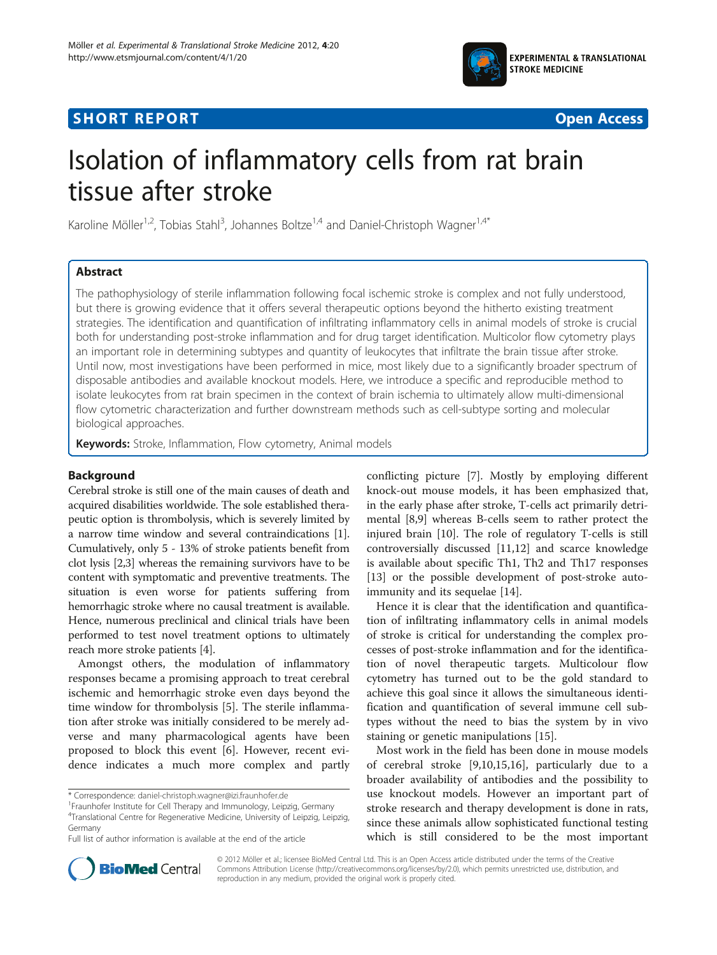

## **SHORT REPORT SHORT CONSUMING THE CONSUMING THE CONSUMING THE CONSUMING THE CONSUMING THE CONSUMING THE CONSUMING THE CONSUMING THE CONSUMING THE CONSUMING THE CONSUMING THE CONSUMING THE CONSUMING THE CONSUMING THE CONS**



# Isolation of inflammatory cells from rat brain tissue after stroke

Karoline Möller<sup>1,2</sup>, Tobias Stahl<sup>3</sup>, Johannes Boltze<sup>1,4</sup> and Daniel-Christoph Wagner<sup>1,4\*</sup>

## Abstract

The pathophysiology of sterile inflammation following focal ischemic stroke is complex and not fully understood, but there is growing evidence that it offers several therapeutic options beyond the hitherto existing treatment strategies. The identification and quantification of infiltrating inflammatory cells in animal models of stroke is crucial both for understanding post-stroke inflammation and for drug target identification. Multicolor flow cytometry plays an important role in determining subtypes and quantity of leukocytes that infiltrate the brain tissue after stroke. Until now, most investigations have been performed in mice, most likely due to a significantly broader spectrum of disposable antibodies and available knockout models. Here, we introduce a specific and reproducible method to isolate leukocytes from rat brain specimen in the context of brain ischemia to ultimately allow multi-dimensional flow cytometric characterization and further downstream methods such as cell-subtype sorting and molecular biological approaches.

Keywords: Stroke, Inflammation, Flow cytometry, Animal models

## Background

Cerebral stroke is still one of the main causes of death and acquired disabilities worldwide. The sole established therapeutic option is thrombolysis, which is severely limited by a narrow time window and several contraindications [[1](#page-5-0)]. Cumulatively, only 5 - 13% of stroke patients benefit from clot lysis [\[2,3](#page-5-0)] whereas the remaining survivors have to be content with symptomatic and preventive treatments. The situation is even worse for patients suffering from hemorrhagic stroke where no causal treatment is available. Hence, numerous preclinical and clinical trials have been performed to test novel treatment options to ultimately reach more stroke patients [[4\]](#page-5-0).

Amongst others, the modulation of inflammatory responses became a promising approach to treat cerebral ischemic and hemorrhagic stroke even days beyond the time window for thrombolysis [[5\]](#page-5-0). The sterile inflammation after stroke was initially considered to be merely adverse and many pharmacological agents have been proposed to block this event [[6\]](#page-5-0). However, recent evidence indicates a much more complex and partly

conflicting picture [\[7\]](#page-5-0). Mostly by employing different knock-out mouse models, it has been emphasized that, in the early phase after stroke, T-cells act primarily detrimental [[8,9\]](#page-5-0) whereas B-cells seem to rather protect the injured brain [\[10\]](#page-5-0). The role of regulatory T-cells is still controversially discussed [[11](#page-5-0),[12](#page-5-0)] and scarce knowledge is available about specific Th1, Th2 and Th17 responses [[13\]](#page-5-0) or the possible development of post-stroke autoimmunity and its sequelae [[14](#page-5-0)].

Hence it is clear that the identification and quantification of infiltrating inflammatory cells in animal models of stroke is critical for understanding the complex processes of post-stroke inflammation and for the identification of novel therapeutic targets. Multicolour flow cytometry has turned out to be the gold standard to achieve this goal since it allows the simultaneous identification and quantification of several immune cell subtypes without the need to bias the system by in vivo staining or genetic manipulations [[15](#page-5-0)].

Most work in the field has been done in mouse models of cerebral stroke [[9,10,15,16\]](#page-5-0), particularly due to a broader availability of antibodies and the possibility to use knockout models. However an important part of stroke research and therapy development is done in rats, since these animals allow sophisticated functional testing which is still considered to be the most important



© 2012 Möller et al.; licensee BioMed Central Ltd. This is an Open Access article distributed under the terms of the Creative Commons Attribution License [\(http://creativecommons.org/licenses/by/2.0\)](http://creativecommons.org/licenses/by/2.0), which permits unrestricted use, distribution, and reproduction in any medium, provided the original work is properly cited.

<sup>\*</sup> Correspondence: [daniel-christoph.wagner@izi.fraunhofer.de](mailto:daniel-hristoph.wagner@izi.fraunhofer.de) <sup>1</sup>

<sup>&</sup>lt;sup>1</sup> Fraunhofer Institute for Cell Therapy and Immunology, Leipzig, Germany 4 Translational Centre for Regenerative Medicine, University of Leipzig, Leipzig, Germany

Full list of author information is available at the end of the article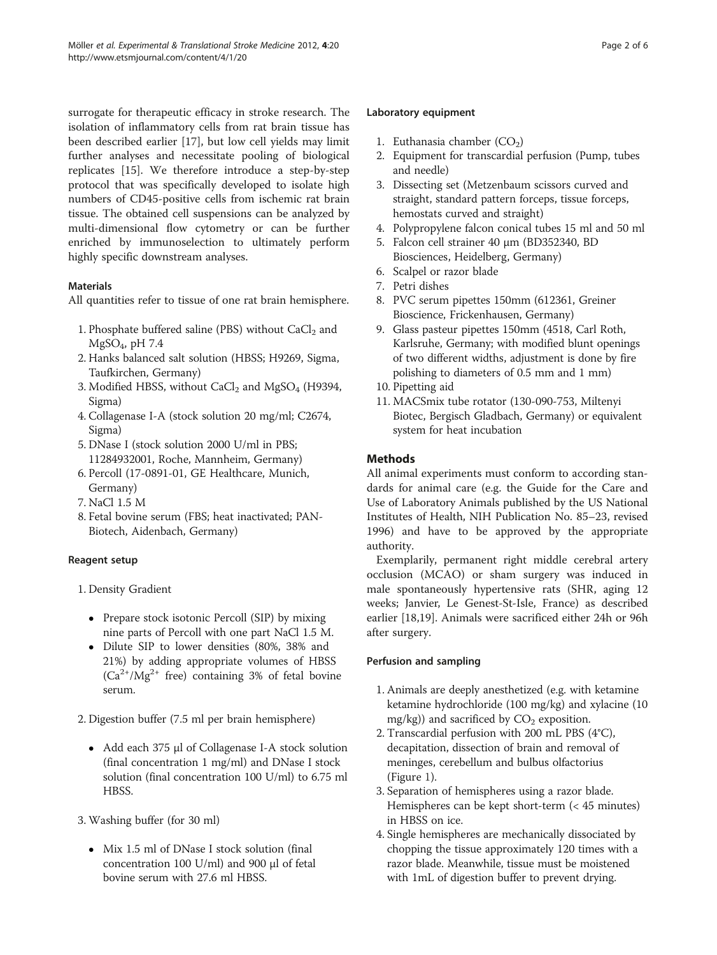surrogate for therapeutic efficacy in stroke research. The isolation of inflammatory cells from rat brain tissue has been described earlier [[17\]](#page-5-0), but low cell yields may limit further analyses and necessitate pooling of biological replicates [[15\]](#page-5-0). We therefore introduce a step-by-step protocol that was specifically developed to isolate high numbers of CD45-positive cells from ischemic rat brain tissue. The obtained cell suspensions can be analyzed by multi-dimensional flow cytometry or can be further enriched by immunoselection to ultimately perform highly specific downstream analyses.

## Materials

All quantities refer to tissue of one rat brain hemisphere.

- 1. Phosphate buffered saline (PBS) without  $CaCl<sub>2</sub>$  and  $MgSO<sub>4</sub>$ , pH 7.4
- 2. Hanks balanced salt solution (HBSS; H9269, Sigma, Taufkirchen, Germany)
- 3. Modified HBSS, without  $CaCl<sub>2</sub>$  and MgSO<sub>4</sub> (H9394, Sigma)
- 4. Collagenase I-A (stock solution 20 mg/ml; C2674, Sigma)
- 5. DNase I (stock solution 2000 U/ml in PBS; 11284932001, Roche, Mannheim, Germany)
- 6. Percoll (17-0891-01, GE Healthcare, Munich, Germany)
- 7. NaCl 1.5 M
- 8. Fetal bovine serum (FBS; heat inactivated; PAN-Biotech, Aidenbach, Germany)

## Reagent setup

- 1. Density Gradient
	- Prepare stock isotonic Percoll (SIP) by mixing nine parts of Percoll with one part NaCl 1.5 M.
	- Dilute SIP to lower densities (80%, 38% and 21%) by adding appropriate volumes of HBSS  $(Ca^{2+}/Mg^{2+}$  free) containing 3% of fetal bovine serum.

2. Digestion buffer (7.5 ml per brain hemisphere)

- Add each 375 μl of Collagenase I-A stock solution (final concentration 1 mg/ml) and DNase I stock solution (final concentration 100 U/ml) to 6.75 ml HBSS.
- 3. Washing buffer (for 30 ml)
	- Mix 1.5 ml of DNase I stock solution (final concentration 100 U/ml) and 900 μl of fetal bovine serum with 27.6 ml HBSS.

#### Laboratory equipment

- 1. Euthanasia chamber  $(CO<sub>2</sub>)$
- 2. Equipment for transcardial perfusion (Pump, tubes and needle)
- 3. Dissecting set (Metzenbaum scissors curved and straight, standard pattern forceps, tissue forceps, hemostats curved and straight)
- 4. Polypropylene falcon conical tubes 15 ml and 50 ml
- 5. Falcon cell strainer 40 μm (BD352340, BD Biosciences, Heidelberg, Germany)
- 6. Scalpel or razor blade
- 7. Petri dishes
- 8. PVC serum pipettes 150mm (612361, Greiner Bioscience, Frickenhausen, Germany)
- 9. Glass pasteur pipettes 150mm (4518, Carl Roth, Karlsruhe, Germany; with modified blunt openings of two different widths, adjustment is done by fire polishing to diameters of 0.5 mm and 1 mm)
- 10. Pipetting aid
- 11. MACSmix tube rotator (130-090-753, Miltenyi Biotec, Bergisch Gladbach, Germany) or equivalent system for heat incubation

## **Methods**

All animal experiments must conform to according standards for animal care (e.g. the Guide for the Care and Use of Laboratory Animals published by the US National Institutes of Health, NIH Publication No. 85–23, revised 1996) and have to be approved by the appropriate authority.

Exemplarily, permanent right middle cerebral artery occlusion (MCAO) or sham surgery was induced in male spontaneously hypertensive rats (SHR, aging 12 weeks; Janvier, Le Genest-St-Isle, France) as described earlier [[18,19](#page-5-0)]. Animals were sacrificed either 24h or 96h after surgery.

## Perfusion and sampling

- 1. Animals are deeply anesthetized (e.g. with ketamine ketamine hydrochloride (100 mg/kg) and xylacine (10 mg/kg)) and sacrificed by  $CO<sub>2</sub>$  exposition.
- 2. Transcardial perfusion with 200 mL PBS (4°C), decapitation, dissection of brain and removal of meninges, cerebellum and bulbus olfactorius (Figure [1\)](#page-2-0).
- 3. Separation of hemispheres using a razor blade. Hemispheres can be kept short-term (< 45 minutes) in HBSS on ice.
- 4. Single hemispheres are mechanically dissociated by chopping the tissue approximately 120 times with a razor blade. Meanwhile, tissue must be moistened with 1mL of digestion buffer to prevent drying.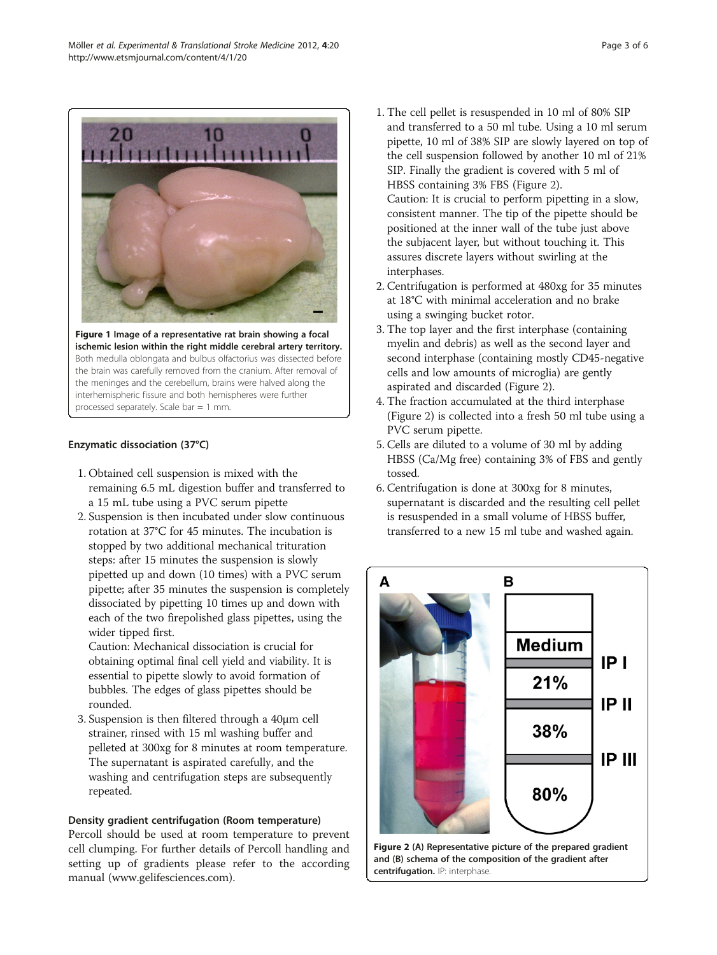<span id="page-2-0"></span>

Figure 1 Image of a representative rat brain showing a focal ischemic lesion within the right middle cerebral artery territory. Both medulla oblongata and bulbus olfactorius was dissected before the brain was carefully removed from the cranium. After removal of the meninges and the cerebellum, brains were halved along the interhemispheric fissure and both hemispheres were further processed separately. Scale bar = 1 mm.

#### Enzymatic dissociation (37°C)

- 1. Obtained cell suspension is mixed with the remaining 6.5 mL digestion buffer and transferred to a 15 mL tube using a PVC serum pipette
- 2. Suspension is then incubated under slow continuous rotation at 37°C for 45 minutes. The incubation is stopped by two additional mechanical trituration steps: after 15 minutes the suspension is slowly pipetted up and down (10 times) with a PVC serum pipette; after 35 minutes the suspension is completely dissociated by pipetting 10 times up and down with each of the two firepolished glass pipettes, using the wider tipped first.

Caution: Mechanical dissociation is crucial for obtaining optimal final cell yield and viability. It is essential to pipette slowly to avoid formation of bubbles. The edges of glass pipettes should be rounded.

3. Suspension is then filtered through a 40μm cell strainer, rinsed with 15 ml washing buffer and pelleted at 300xg for 8 minutes at room temperature. The supernatant is aspirated carefully, and the washing and centrifugation steps are subsequently repeated.

#### Density gradient centrifugation (Room temperature)

Percoll should be used at room temperature to prevent cell clumping. For further details of Percoll handling and setting up of gradients please refer to the according manual [\(www.gelifesciences.com](http://www.gelifesciences.com)).

- 1. The cell pellet is resuspended in 10 ml of 80% SIP and transferred to a 50 ml tube. Using a 10 ml serum pipette, 10 ml of 38% SIP are slowly layered on top of the cell suspension followed by another 10 ml of 21% SIP. Finally the gradient is covered with 5 ml of HBSS containing 3% FBS (Figure 2). Caution: It is crucial to perform pipetting in a slow, consistent manner. The tip of the pipette should be positioned at the inner wall of the tube just above the subjacent layer, but without touching it. This assures discrete layers without swirling at the interphases.
- 2. Centrifugation is performed at 480xg for 35 minutes at 18°C with minimal acceleration and no brake using a swinging bucket rotor.
- 3. The top layer and the first interphase (containing myelin and debris) as well as the second layer and second interphase (containing mostly CD45-negative cells and low amounts of microglia) are gently aspirated and discarded (Figure 2).
- 4. The fraction accumulated at the third interphase (Figure 2) is collected into a fresh 50 ml tube using a PVC serum pipette.
- 5. Cells are diluted to a volume of 30 ml by adding HBSS (Ca/Mg free) containing 3% of FBS and gently tossed.
- 6. Centrifugation is done at 300xg for 8 minutes, supernatant is discarded and the resulting cell pellet is resuspended in a small volume of HBSS buffer, transferred to a new 15 ml tube and washed again.



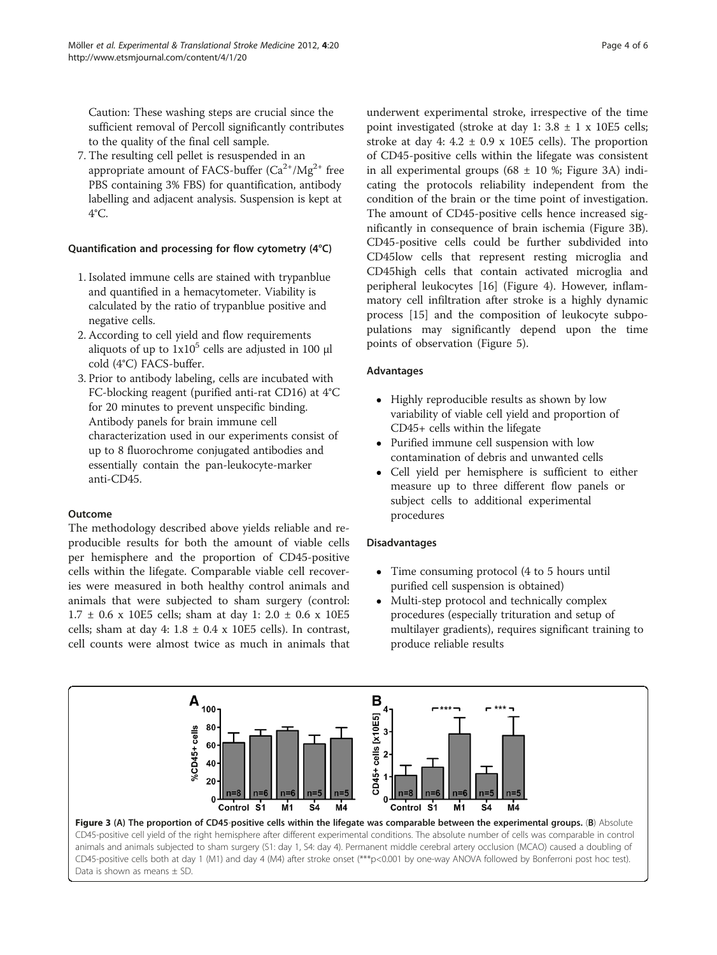Caution: These washing steps are crucial since the sufficient removal of Percoll significantly contributes to the quality of the final cell sample.

7. The resulting cell pellet is resuspended in an appropriate amount of FACS-buffer  $(Ca^{2+}/Mg^{2+})$  free PBS containing 3% FBS) for quantification, antibody labelling and adjacent analysis. Suspension is kept at 4°C.

#### Quantification and processing for flow cytometry (4°C)

- 1. Isolated immune cells are stained with trypanblue and quantified in a hemacytometer. Viability is calculated by the ratio of trypanblue positive and negative cells.
- 2. According to cell yield and flow requirements aliquots of up to  $1x10^5$  cells are adjusted in 100 μl cold (4°C) FACS-buffer.
- 3. Prior to antibody labeling, cells are incubated with FC-blocking reagent (purified anti-rat CD16) at 4°C for 20 minutes to prevent unspecific binding. Antibody panels for brain immune cell characterization used in our experiments consist of up to 8 fluorochrome conjugated antibodies and essentially contain the pan-leukocyte-marker anti-CD45.

#### Outcome

The methodology described above yields reliable and reproducible results for both the amount of viable cells per hemisphere and the proportion of CD45-positive cells within the lifegate. Comparable viable cell recoveries were measured in both healthy control animals and animals that were subjected to sham surgery (control: 1.7 ± 0.6 x 10E5 cells; sham at day 1: 2.0 ± 0.6 x 10E5 cells; sham at day 4:  $1.8 \pm 0.4$  x 10E5 cells). In contrast, cell counts were almost twice as much in animals that

underwent experimental stroke, irrespective of the time point investigated (stroke at day 1:  $3.8 \pm 1 \times 10E5$  cells; stroke at day 4:  $4.2 \pm 0.9$  x 10E5 cells). The proportion of CD45-positive cells within the lifegate was consistent in all experimental groups (68  $\pm$  10 %; Figure 3A) indicating the protocols reliability independent from the condition of the brain or the time point of investigation. The amount of CD45-positive cells hence increased significantly in consequence of brain ischemia (Figure 3B). CD45-positive cells could be further subdivided into CD45low cells that represent resting microglia and CD45high cells that contain activated microglia and peripheral leukocytes [[16\]](#page-5-0) (Figure [4\)](#page-4-0). However, inflammatory cell infiltration after stroke is a highly dynamic process [\[15\]](#page-5-0) and the composition of leukocyte subpopulations may significantly depend upon the time points of observation (Figure [5\)](#page-4-0).

#### Advantages

- Highly reproducible results as shown by low variability of viable cell yield and proportion of CD45+ cells within the lifegate
- Purified immune cell suspension with low contamination of debris and unwanted cells
- Cell yield per hemisphere is sufficient to either measure up to three different flow panels or subject cells to additional experimental procedures

#### Disadvantages

- Time consuming protocol (4 to 5 hours until purified cell suspension is obtained)
- Multi-step protocol and technically complex procedures (especially trituration and setup of multilayer gradients), requires significant training to produce reliable results

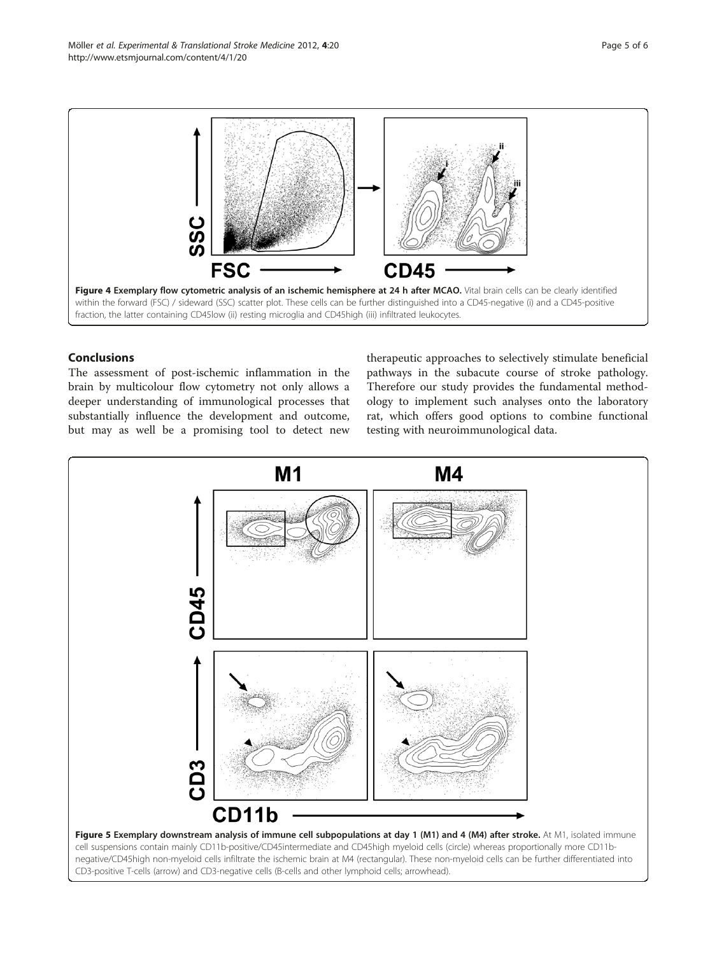<span id="page-4-0"></span>

## Conclusions

The assessment of post-ischemic inflammation in the brain by multicolour flow cytometry not only allows a deeper understanding of immunological processes that substantially influence the development and outcome, but may as well be a promising tool to detect new

therapeutic approaches to selectively stimulate beneficial pathways in the subacute course of stroke pathology. Therefore our study provides the fundamental methodology to implement such analyses onto the laboratory rat, which offers good options to combine functional testing with neuroimmunological data.